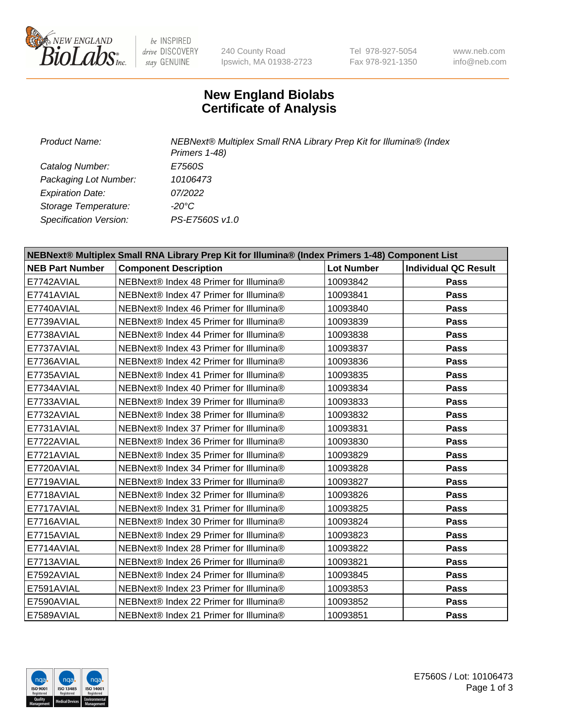

be INSPIRED drive DISCOVERY stay GENUINE

240 County Road Ipswich, MA 01938-2723 Tel 978-927-5054 Fax 978-921-1350

www.neb.com info@neb.com

## **New England Biolabs Certificate of Analysis**

*Product Name: NEBNext® Multiplex Small RNA Library Prep Kit for Illumina® (Index Primers 1-48) Catalog Number: E7560S Packaging Lot Number: 10106473 Expiration Date: 07/2022 Storage Temperature: -20°C Specification Version: PS-E7560S v1.0*

| NEBNext® Multiplex Small RNA Library Prep Kit for Illumina® (Index Primers 1-48) Component List |                                        |                   |                             |  |
|-------------------------------------------------------------------------------------------------|----------------------------------------|-------------------|-----------------------------|--|
| <b>NEB Part Number</b>                                                                          | <b>Component Description</b>           | <b>Lot Number</b> | <b>Individual QC Result</b> |  |
| E7742AVIAL                                                                                      | NEBNext® Index 48 Primer for Illumina® | 10093842          | Pass                        |  |
| E7741AVIAL                                                                                      | NEBNext® Index 47 Primer for Illumina® | 10093841          | Pass                        |  |
| E7740AVIAL                                                                                      | NEBNext® Index 46 Primer for Illumina® | 10093840          | Pass                        |  |
| E7739AVIAL                                                                                      | NEBNext® Index 45 Primer for Illumina® | 10093839          | <b>Pass</b>                 |  |
| E7738AVIAL                                                                                      | NEBNext® Index 44 Primer for Illumina® | 10093838          | <b>Pass</b>                 |  |
| E7737AVIAL                                                                                      | NEBNext® Index 43 Primer for Illumina® | 10093837          | Pass                        |  |
| E7736AVIAL                                                                                      | NEBNext® Index 42 Primer for Illumina® | 10093836          | Pass                        |  |
| E7735AVIAL                                                                                      | NEBNext® Index 41 Primer for Illumina® | 10093835          | <b>Pass</b>                 |  |
| E7734AVIAL                                                                                      | NEBNext® Index 40 Primer for Illumina® | 10093834          | Pass                        |  |
| E7733AVIAL                                                                                      | NEBNext® Index 39 Primer for Illumina® | 10093833          | Pass                        |  |
| E7732AVIAL                                                                                      | NEBNext® Index 38 Primer for Illumina® | 10093832          | Pass                        |  |
| E7731AVIAL                                                                                      | NEBNext® Index 37 Primer for Illumina® | 10093831          | Pass                        |  |
| E7722AVIAL                                                                                      | NEBNext® Index 36 Primer for Illumina® | 10093830          | Pass                        |  |
| E7721AVIAL                                                                                      | NEBNext® Index 35 Primer for Illumina® | 10093829          | <b>Pass</b>                 |  |
| E7720AVIAL                                                                                      | NEBNext® Index 34 Primer for Illumina® | 10093828          | <b>Pass</b>                 |  |
| E7719AVIAL                                                                                      | NEBNext® Index 33 Primer for Illumina® | 10093827          | Pass                        |  |
| E7718AVIAL                                                                                      | NEBNext® Index 32 Primer for Illumina® | 10093826          | <b>Pass</b>                 |  |
| E7717AVIAL                                                                                      | NEBNext® Index 31 Primer for Illumina® | 10093825          | <b>Pass</b>                 |  |
| E7716AVIAL                                                                                      | NEBNext® Index 30 Primer for Illumina® | 10093824          | Pass                        |  |
| E7715AVIAL                                                                                      | NEBNext® Index 29 Primer for Illumina® | 10093823          | <b>Pass</b>                 |  |
| E7714AVIAL                                                                                      | NEBNext® Index 28 Primer for Illumina® | 10093822          | Pass                        |  |
| E7713AVIAL                                                                                      | NEBNext® Index 26 Primer for Illumina® | 10093821          | <b>Pass</b>                 |  |
| E7592AVIAL                                                                                      | NEBNext® Index 24 Primer for Illumina® | 10093845          | Pass                        |  |
| E7591AVIAL                                                                                      | NEBNext® Index 23 Primer for Illumina® | 10093853          | Pass                        |  |
| E7590AVIAL                                                                                      | NEBNext® Index 22 Primer for Illumina® | 10093852          | <b>Pass</b>                 |  |
| E7589AVIAL                                                                                      | NEBNext® Index 21 Primer for Illumina® | 10093851          | Pass                        |  |



E7560S / Lot: 10106473 Page 1 of 3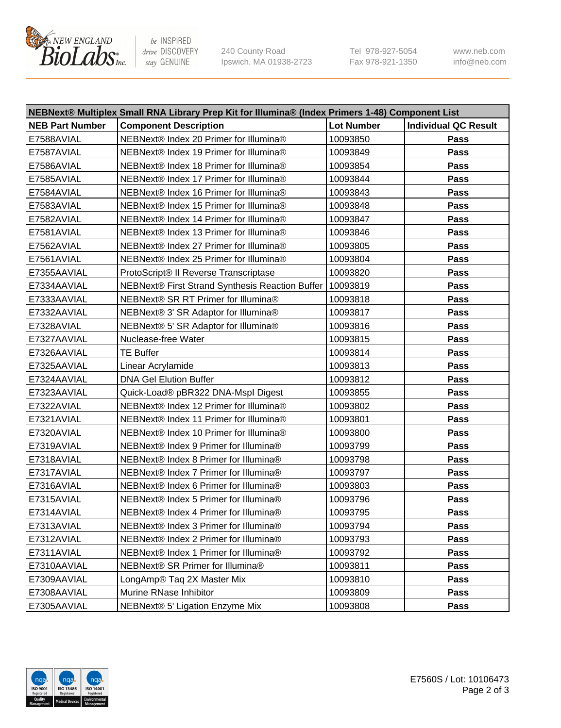

be INSPIRED drive DISCOVERY stay GENUINE

240 County Road Ipswich, MA 01938-2723 Tel 978-927-5054 Fax 978-921-1350 www.neb.com info@neb.com

| NEBNext® Multiplex Small RNA Library Prep Kit for Illumina® (Index Primers 1-48) Component List |                                                            |                   |                             |  |
|-------------------------------------------------------------------------------------------------|------------------------------------------------------------|-------------------|-----------------------------|--|
| <b>NEB Part Number</b>                                                                          | <b>Component Description</b>                               | <b>Lot Number</b> | <b>Individual QC Result</b> |  |
| E7588AVIAL                                                                                      | NEBNext® Index 20 Primer for Illumina®                     | 10093850          | Pass                        |  |
| E7587AVIAL                                                                                      | NEBNext® Index 19 Primer for Illumina®                     | 10093849          | Pass                        |  |
| E7586AVIAL                                                                                      | NEBNext® Index 18 Primer for Illumina®                     | 10093854          | Pass                        |  |
| E7585AVIAL                                                                                      | NEBNext® Index 17 Primer for Illumina®                     | 10093844          | Pass                        |  |
| E7584AVIAL                                                                                      | NEBNext® Index 16 Primer for Illumina®                     | 10093843          | Pass                        |  |
| E7583AVIAL                                                                                      | NEBNext® Index 15 Primer for Illumina®                     | 10093848          | Pass                        |  |
| E7582AVIAL                                                                                      | NEBNext® Index 14 Primer for Illumina®                     | 10093847          | Pass                        |  |
| E7581AVIAL                                                                                      | NEBNext® Index 13 Primer for Illumina®                     | 10093846          | Pass                        |  |
| E7562AVIAL                                                                                      | NEBNext® Index 27 Primer for Illumina®                     | 10093805          | Pass                        |  |
| E7561AVIAL                                                                                      | NEBNext® Index 25 Primer for Illumina®                     | 10093804          | Pass                        |  |
| E7355AAVIAL                                                                                     | ProtoScript® II Reverse Transcriptase                      | 10093820          | Pass                        |  |
| E7334AAVIAL                                                                                     | NEBNext® First Strand Synthesis Reaction Buffer   10093819 |                   | Pass                        |  |
| E7333AAVIAL                                                                                     | NEBNext® SR RT Primer for Illumina®                        | 10093818          | Pass                        |  |
| E7332AAVIAL                                                                                     | NEBNext® 3' SR Adaptor for Illumina®                       | 10093817          | Pass                        |  |
| E7328AVIAL                                                                                      | NEBNext® 5' SR Adaptor for Illumina®                       | 10093816          | Pass                        |  |
| E7327AAVIAL                                                                                     | Nuclease-free Water                                        | 10093815          | Pass                        |  |
| E7326AAVIAL                                                                                     | <b>TE Buffer</b>                                           | 10093814          | Pass                        |  |
| E7325AAVIAL                                                                                     | Linear Acrylamide                                          | 10093813          | Pass                        |  |
| E7324AAVIAL                                                                                     | <b>DNA Gel Elution Buffer</b>                              | 10093812          | Pass                        |  |
| E7323AAVIAL                                                                                     | Quick-Load® pBR322 DNA-Mspl Digest                         | 10093855          | Pass                        |  |
| E7322AVIAL                                                                                      | NEBNext® Index 12 Primer for Illumina®                     | 10093802          | Pass                        |  |
| E7321AVIAL                                                                                      | NEBNext® Index 11 Primer for Illumina®                     | 10093801          | Pass                        |  |
| E7320AVIAL                                                                                      | NEBNext® Index 10 Primer for Illumina®                     | 10093800          | Pass                        |  |
| E7319AVIAL                                                                                      | NEBNext® Index 9 Primer for Illumina®                      | 10093799          | Pass                        |  |
| E7318AVIAL                                                                                      | NEBNext® Index 8 Primer for Illumina®                      | 10093798          | Pass                        |  |
| E7317AVIAL                                                                                      | NEBNext® Index 7 Primer for Illumina®                      | 10093797          | Pass                        |  |
| E7316AVIAL                                                                                      | NEBNext® Index 6 Primer for Illumina®                      | 10093803          | Pass                        |  |
| E7315AVIAL                                                                                      | NEBNext® Index 5 Primer for Illumina®                      | 10093796          | Pass                        |  |
| E7314AVIAL                                                                                      | NEBNext® Index 4 Primer for Illumina®                      | 10093795          | Pass                        |  |
| E7313AVIAL                                                                                      | NEBNext® Index 3 Primer for Illumina®                      | 10093794          | Pass                        |  |
| E7312AVIAL                                                                                      | NEBNext® Index 2 Primer for Illumina®                      | 10093793          | Pass                        |  |
| E7311AVIAL                                                                                      | NEBNext® Index 1 Primer for Illumina®                      | 10093792          | Pass                        |  |
| E7310AAVIAL                                                                                     | NEBNext® SR Primer for Illumina®                           | 10093811          | Pass                        |  |
| E7309AAVIAL                                                                                     | LongAmp® Taq 2X Master Mix                                 | 10093810          | Pass                        |  |
| E7308AAVIAL                                                                                     | Murine RNase Inhibitor                                     | 10093809          | Pass                        |  |
| E7305AAVIAL                                                                                     | NEBNext® 5' Ligation Enzyme Mix                            | 10093808          | Pass                        |  |